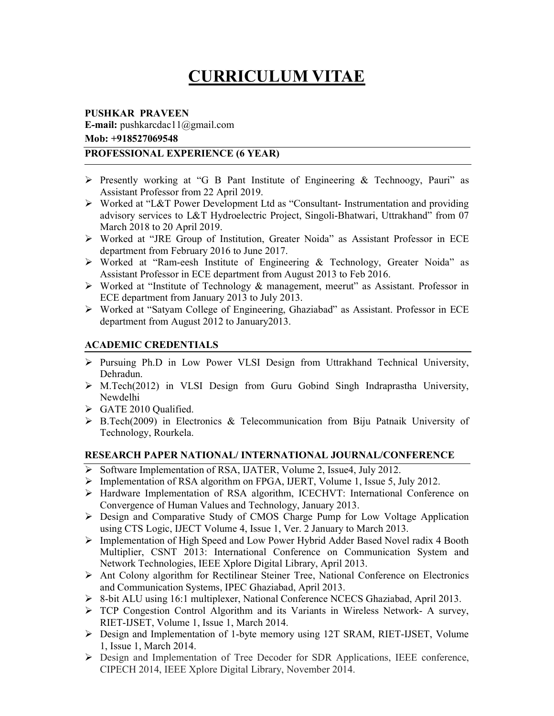# CURRICULUM VITAE

#### PUSHKAR PRAVEEN

E-mail: pushkarcdac11@gmail.com Mob: +918527069548

#### PROFESSIONAL EXPERIENCE (6 YEAR)

- $\triangleright$  Presently working at "G B Pant Institute of Engineering & Technoogy, Pauri" as Assistant Professor from 22 April 2019.
- Worked at "L&T Power Development Ltd as "Consultant- Instrumentation and providing advisory services to L&T Hydroelectric Project, Singoli-Bhatwari, Uttrakhand<sup>7</sup> from 07 March 2018 to 20 April 2019.
- Worked at "JRE Group of Institution, Greater Noida" as Assistant Professor in ECE department from February 2016 to June 2017.
- Worked at "Ram-eesh Institute of Engineering & Technology, Greater Noida" as Assistant Professor in ECE department from August 2013 to Feb 2016.
- Worked at "Institute of Technology & management, meerut" as Assistant. Professor in ECE department from January 2013 to July 2013.
- Worked at "Satyam College of Engineering, Ghaziabad" as Assistant. Professor in ECE department from August 2012 to January2013.

## ACADEMIC CREDENTIALS

- Pursuing Ph.D in Low Power VLSI Design from Uttrakhand Technical University, Dehradun.
- M.Tech(2012) in VLSI Design from Guru Gobind Singh Indraprastha University, Newdelhi
- GATE 2010 Qualified.
- B.Tech(2009) in Electronics & Telecommunication from Biju Patnaik University of Technology, Rourkela.

# RESEARCH PAPER NATIONAL/ INTERNATIONAL JOURNAL/CONFERENCE

- $\triangleright$  Software Implementation of RSA, IJATER, Volume 2, Issue4, July 2012.
- Implementation of RSA algorithm on FPGA, IJERT, Volume 1, Issue 5, July 2012.
- Hardware Implementation of RSA algorithm, ICECHVT: International Conference on Convergence of Human Values and Technology, January 2013.
- Design and Comparative Study of CMOS Charge Pump for Low Voltage Application using CTS Logic, IJECT Volume 4, Issue 1, Ver. 2 January to March 2013.
- Implementation of High Speed and Low Power Hybrid Adder Based Novel radix 4 Booth Multiplier, CSNT 2013: International Conference on Communication System and Network Technologies, IEEE Xplore Digital Library, April 2013.
- Ant Colony algorithm for Rectilinear Steiner Tree, National Conference on Electronics and Communication Systems, IPEC Ghaziabad, April 2013.
- 8-bit ALU using 16:1 multiplexer, National Conference NCECS Ghaziabad, April 2013.
- TCP Congestion Control Algorithm and its Variants in Wireless Network- A survey, RIET-IJSET, Volume 1, Issue 1, March 2014.
- Design and Implementation of 1-byte memory using 12T SRAM, RIET-IJSET, Volume 1, Issue 1, March 2014.
- Design and Implementation of Tree Decoder for SDR Applications, IEEE conference, CIPECH 2014, IEEE Xplore Digital Library, November 2014.